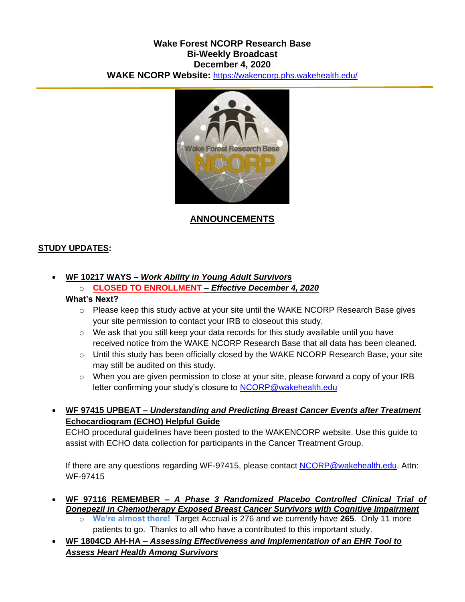### **Wake Forest NCORP Research Base Bi-Weekly Broadcast December 4, 2020 WAKE NCORP Website:** <https://wakencorp.phs.wakehealth.edu/>



### **ANNOUNCEMENTS**

### **STUDY UPDATES:**

## **WF 10217 WAYS –** *Work Ability in Young Adult Survivors*

# o **CLOSED TO ENROLLMENT –** *Effective December 4, 2020*

#### **What's Next?**

- $\circ$  Please keep this study active at your site until the WAKE NCORP Research Base gives your site permission to contact your IRB to closeout this study.
- $\circ$  We ask that you still keep your data records for this study available until you have received notice from the WAKE NCORP Research Base that all data has been cleaned.
- $\circ$  Until this study has been officially closed by the WAKE NCORP Research Base, your site may still be audited on this study.
- o When you are given permission to close at your site, please forward a copy of your IRB letter confirming your study's closure to [NCORP@wakehealth.edu](mailto:NCORP@wakehealth.edu)
- **WF 97415 UPBEAT –** *Understanding and Predicting Breast Cancer Events after Treatment* **Echocardiogram (ECHO) Helpful Guide**

ECHO procedural guidelines have been posted to the WAKENCORP website. Use this guide to assist with ECHO data collection for participants in the Cancer Treatment Group.

If there are any questions regarding WF-97415, please contact [NCORP@wakehealth.edu.](mailto:NCORP@wakehealth.edu) Attn: WF-97415

- **WF 97116 REMEMBER –** *A Phase 3 Randomized Placebo Controlled Clinical Trial of Donepezil in Chemotherapy Exposed Breast Cancer Survivors with Cognitive Impairment*
	- o **We're almost there!** Target Accrual is 276 and we currently have **265**. Only 11 more patients to go. Thanks to all who have a contributed to this important study.
- **WF 1804CD AH-HA –** *Assessing Effectiveness and Implementation of an EHR Tool to Assess Heart Health Among Survivors*